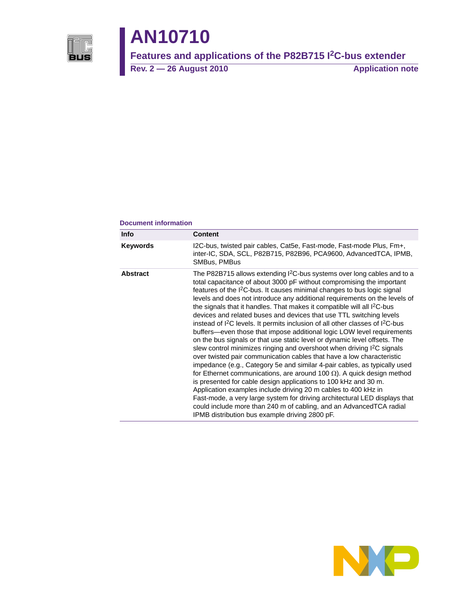

# **AN10710**

**Features and applications of the P82B715 I2C-bus extender**

Rev. 2 — 26 August 2010 **Application note** 

#### **Document information**

| <b>Info</b>     | <b>Content</b>                                                                                                                                                                                                                                                                                                                                                                                                                                                                                                                                                                                                                                                                                                                                                                                                                                                                                                                                                                                                                                                                                                                                                                                                                                                                                                                                                                                               |
|-----------------|--------------------------------------------------------------------------------------------------------------------------------------------------------------------------------------------------------------------------------------------------------------------------------------------------------------------------------------------------------------------------------------------------------------------------------------------------------------------------------------------------------------------------------------------------------------------------------------------------------------------------------------------------------------------------------------------------------------------------------------------------------------------------------------------------------------------------------------------------------------------------------------------------------------------------------------------------------------------------------------------------------------------------------------------------------------------------------------------------------------------------------------------------------------------------------------------------------------------------------------------------------------------------------------------------------------------------------------------------------------------------------------------------------------|
| <b>Keywords</b> | I2C-bus, twisted pair cables, Cat5e, Fast-mode, Fast-mode Plus, Fm+,<br>inter-IC, SDA, SCL, P82B715, P82B96, PCA9600, AdvancedTCA, IPMB,<br>SMBus, PMBus                                                                                                                                                                                                                                                                                                                                                                                                                                                                                                                                                                                                                                                                                                                                                                                                                                                                                                                                                                                                                                                                                                                                                                                                                                                     |
| <b>Abstract</b> | The P82B715 allows extending I <sup>2</sup> C-bus systems over long cables and to a<br>total capacitance of about 3000 pF without compromising the important<br>features of the I <sup>2</sup> C-bus. It causes minimal changes to bus logic signal<br>levels and does not introduce any additional requirements on the levels of<br>the signals that it handles. That makes it compatible will all $1^2C$ -bus<br>devices and related buses and devices that use TTL switching levels<br>instead of $1^2C$ levels. It permits inclusion of all other classes of $1^2C$ -bus<br>buffers-even those that impose additional logic LOW level requirements<br>on the bus signals or that use static level or dynamic level offsets. The<br>slew control minimizes ringing and overshoot when driving I <sup>2</sup> C signals<br>over twisted pair communication cables that have a low characteristic<br>impedance (e.g., Category 5e and similar 4-pair cables, as typically used<br>for Ethernet communications, are around 100 $\Omega$ ). A quick design method<br>is presented for cable design applications to 100 kHz and 30 m.<br>Application examples include driving 20 m cables to 400 kHz in<br>Fast-mode, a very large system for driving architectural LED displays that<br>could include more than 240 m of cabling, and an AdvancedTCA radial<br>IPMB distribution bus example driving 2800 pF. |

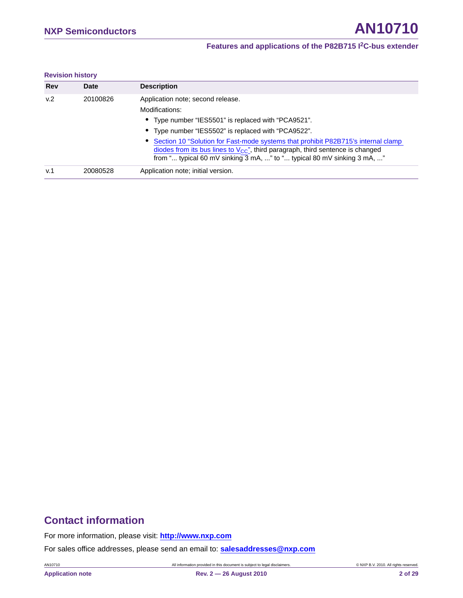#### **Revision history**

| <b>Rev</b> | <b>Date</b> | <b>Description</b>                                                                                                                                                         |
|------------|-------------|----------------------------------------------------------------------------------------------------------------------------------------------------------------------------|
| v.2        | 20100826    | Application note; second release.<br>Modifications:                                                                                                                        |
|            |             | • Type number "IES5501" is replaced with "PCA9521".                                                                                                                        |
|            |             |                                                                                                                                                                            |
|            |             | • Type number "IES5502" is replaced with "PCA9522".                                                                                                                        |
|            |             | • Section 10 "Solution for Fast-mode systems that prohibit P82B715's internal clamp<br>diodes from its bus lines to $V_{CC}$ ", third paragraph, third sentence is changed |
|            |             | from " typical 60 mV sinking 3 mA, " to " typical 80 mV sinking 3 mA, "                                                                                                    |
| v.1        | 20080528    | Application note; initial version.                                                                                                                                         |

### **Contact information**

For more information, please visit: **http://www.nxp.com**

For sales office addresses, please send an email to: **salesaddresses@nxp.com**

AN10710 All information provided in this document is subject to legal disclaimers. © NXP B.V. 2010. All rights reserved.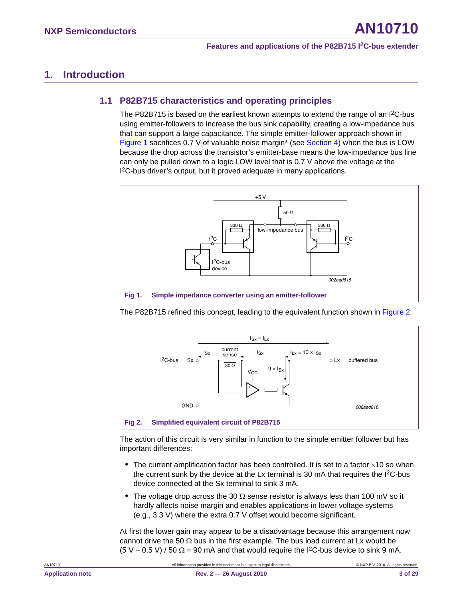### <span id="page-2-3"></span><span id="page-2-2"></span>**1. Introduction**

### **1.1 P82B715 characteristics and operating principles**

The P82B715 is based on the earliest known attempts to extend the range of an I<sup>2</sup>C-bus using emitter-followers to increase the bus sink capability, creating a low-impedance bus that can support a large capacitance. The simple emitter-follower approach shown in [Figure 1](#page-2-0) sacrifices 0.7 V of valuable noise margin\* (see [Section 4](#page-5-0)) when the bus is LOW because the drop across the transistor's emitter-base means the low-impedance bus line can only be pulled down to a logic LOW level that is 0.7 V above the voltage at the I<sup>2</sup>C-bus driver's output, but it proved adequate in many applications.



<span id="page-2-0"></span>The P82B715 refined this concept, leading to the equivalent function shown in [Figure 2](#page-2-1).



<span id="page-2-1"></span>The action of this circuit is very similar in function to the simple emitter follower but has important differences:

- The current amplification factor has been controlled. It is set to a factor ×10 so when the current sunk by the device at the Lx terminal is 30 mA that requires the  $12C$ -bus device connected at the Sx terminal to sink 3 mA.
- The voltage drop across the 30  $\Omega$  sense resistor is always less than 100 mV so it hardly affects noise margin and enables applications in lower voltage systems (e.g., 3.3 V) where the extra 0.7 V offset would become significant.

At first the lower gain may appear to be a disadvantage because this arrangement now cannot drive the 50  $\Omega$  bus in the first example. The bus load current at Lx would be  $(5 V - 0.5 V) / 50 \Omega = 90$  mA and that would require the I<sup>2</sup>C-bus device to sink 9 mA.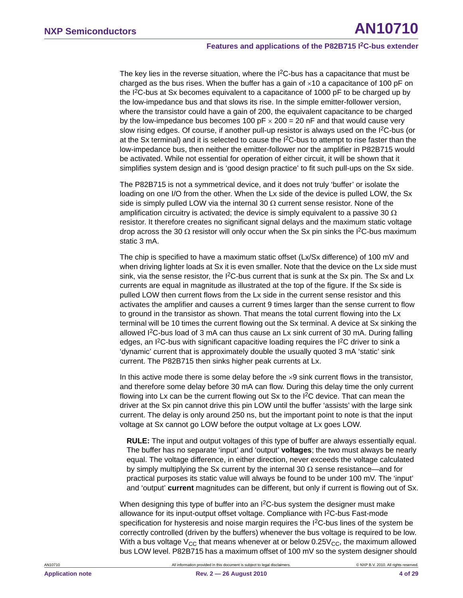The key lies in the reverse situation, where the  $1<sup>2</sup>C$ -bus has a capacitance that must be charged as the bus rises. When the buffer has a gain of  $\times$ 10 a capacitance of 100 pF on the  $12C$ -bus at Sx becomes equivalent to a capacitance of 1000 pF to be charged up by the low-impedance bus and that slows its rise. In the simple emitter-follower version, where the transistor could have a gain of 200, the equivalent capacitance to be charged by the low-impedance bus becomes 100 pF  $\times$  200 = 20 nF and that would cause very slow rising edges. Of course, if another pull-up resistor is always used on the  $12C$ -bus (or at the Sx terminal) and it is selected to cause the I<sup>2</sup>C-bus to attempt to rise faster than the low-impedance bus, then neither the emitter-follower nor the amplifier in P82B715 would be activated. While not essential for operation of either circuit, it will be shown that it simplifies system design and is 'good design practice' to fit such pull-ups on the Sx side.

The P82B715 is not a symmetrical device, and it does not truly 'buffer' or isolate the loading on one I/O from the other. When the Lx side of the device is pulled LOW, the Sx side is simply pulled LOW via the internal 30  $\Omega$  current sense resistor. None of the amplification circuitry is activated; the device is simply equivalent to a passive 30  $\Omega$ resistor. It therefore creates no significant signal delays and the maximum static voltage drop across the 30  $\Omega$  resistor will only occur when the Sx pin sinks the I<sup>2</sup>C-bus maximum static 3 mA.

The chip is specified to have a maximum static offset (Lx/Sx difference) of 100 mV and when driving lighter loads at Sx it is even smaller. Note that the device on the Lx side must sink, via the sense resistor, the  $12C$ -bus current that is sunk at the Sx pin. The Sx and Lx currents are equal in magnitude as illustrated at the top of the figure. If the Sx side is pulled LOW then current flows from the Lx side in the current sense resistor and this activates the amplifier and causes a current 9 times larger than the sense current to flow to ground in the transistor as shown. That means the total current flowing into the Lx terminal will be 10 times the current flowing out the Sx terminal. A device at Sx sinking the allowed  $1<sup>2</sup>C$ -bus load of 3 mA can thus cause an Lx sink current of 30 mA. During falling edges, an  $12C$ -bus with significant capacitive loading requires the  $12C$  driver to sink a 'dynamic' current that is approximately double the usually quoted 3 mA 'static' sink current. The P82B715 then sinks higher peak currents at Lx.

In this active mode there is some delay before the  $\times 9$  sink current flows in the transistor, and therefore some delay before 30 mA can flow. During this delay time the only current flowing into Lx can be the current flowing out Sx to the I2C device. That can mean the driver at the Sx pin cannot drive this pin LOW until the buffer 'assists' with the large sink current. The delay is only around 250 ns, but the important point to note is that the input voltage at Sx cannot go LOW before the output voltage at Lx goes LOW.

**RULE:** The input and output voltages of this type of buffer are always essentially equal. The buffer has no separate 'input' and 'output' **voltages**; the two must always be nearly equal. The voltage difference, in either direction, never exceeds the voltage calculated by simply multiplying the Sx current by the internal 30  $\Omega$  sense resistance—and for practical purposes its static value will always be found to be under 100 mV. The 'input' and 'output' **current** magnitudes can be different, but only if current is flowing out of Sx.

When designing this type of buffer into an  $I^2C$ -bus system the designer must make allowance for its input-output offset voltage. Compliance with  $1<sup>2</sup>C$ -bus Fast-mode specification for hysteresis and noise margin requires the  $12C$ -bus lines of the system be correctly controlled (driven by the buffers) whenever the bus voltage is required to be low. With a bus voltage  $V_{CC}$  that means whenever at or below 0.25 $V_{CC}$ , the maximum allowed bus LOW level. P82B715 has a maximum offset of 100 mV so the system designer should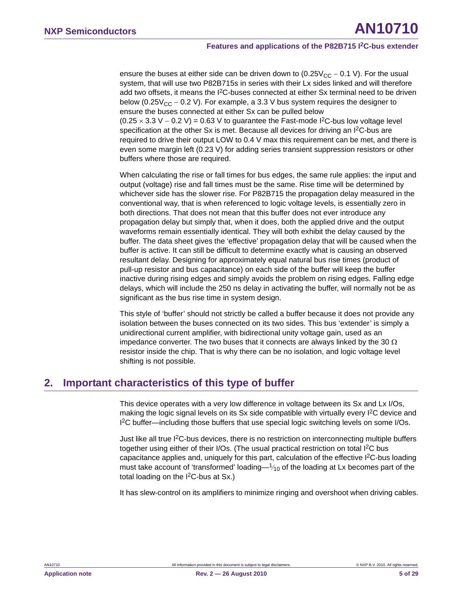ensure the buses at either side can be driven down to  $(0.25V_{CC} - 0.1 V)$ . For the usual system, that will use two P82B715s in series with their Lx sides linked and will therefore add two offsets, it means the  $I^2C$ -buses connected at either Sx terminal need to be driven below (0.25 $V_{CC}$  – 0.2 V). For example, a 3.3 V bus system requires the designer to ensure the buses connected at either Sx can be pulled below  $(0.25 \times 3.3 \text{ V} - 0.2 \text{ V}) = 0.63 \text{ V}$  to guarantee the Fast-mode I<sup>2</sup>C-bus low voltage level specification at the other Sx is met. Because all devices for driving an  $1<sup>2</sup>C$ -bus are required to drive their output LOW to 0.4 V max this requirement can be met, and there is even some margin left (0.23 V) for adding series transient suppression resistors or other buffers where those are required.

When calculating the rise or fall times for bus edges, the same rule applies: the input and output (voltage) rise and fall times must be the same. Rise time will be determined by whichever side has the slower rise. For P82B715 the propagation delay measured in the conventional way, that is when referenced to logic voltage levels, is essentially zero in both directions. That does not mean that this buffer does not ever introduce any propagation delay but simply that, when it does, both the applied drive and the output waveforms remain essentially identical. They will both exhibit the delay caused by the buffer. The data sheet gives the 'effective' propagation delay that will be caused when the buffer is active. It can still be difficult to determine exactly what is causing an observed resultant delay. Designing for approximately equal natural bus rise times (product of pull-up resistor and bus capacitance) on each side of the buffer will keep the buffer inactive during rising edges and simply avoids the problem on rising edges. Falling edge delays, which will include the 250 ns delay in activating the buffer, will normally not be as significant as the bus rise time in system design.

This style of 'buffer' should not strictly be called a buffer because it does not provide any isolation between the buses connected on its two sides. This bus 'extender' is simply a unidirectional current amplifier, with bidirectional unity voltage gain, used as an impedance converter. The two buses that it connects are always linked by the 30  $\Omega$ resistor inside the chip. That is why there can be no isolation, and logic voltage level shifting is not possible.

### <span id="page-4-0"></span>**2. Important characteristics of this type of buffer**

This device operates with a very low difference in voltage between its Sx and Lx I/Os, making the logic signal levels on its Sx side compatible with virtually every I<sup>2</sup>C device and I<sup>2</sup>C buffer—including those buffers that use special logic switching levels on some I/Os.

Just like all true I2C-bus devices, there is no restriction on interconnecting multiple buffers together using either of their I/Os. (The usual practical restriction on total I<sup>2</sup>C bus capacitance applies and, uniquely for this part, calculation of the effective  $1<sup>2</sup>C$ -bus loading must take account of 'transformed' loading— $1/10$  of the loading at Lx becomes part of the total loading on the  $1^2C$ -bus at Sx.)

It has slew-control on its amplifiers to minimize ringing and overshoot when driving cables.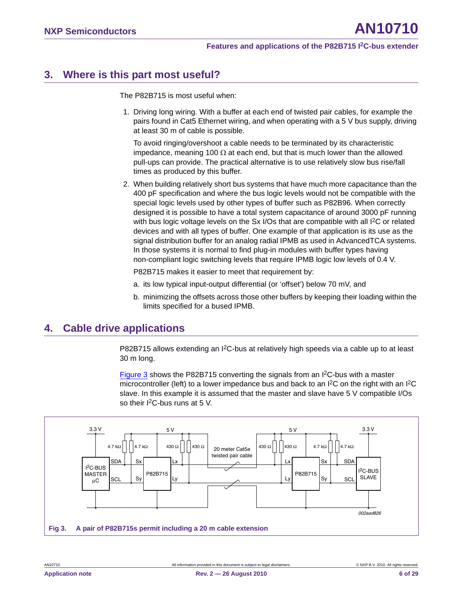### <span id="page-5-2"></span>**3. Where is this part most useful?**

The P82B715 is most useful when:

1. Driving long wiring. With a buffer at each end of twisted pair cables, for example the pairs found in Cat5 Ethernet wiring, and when operating with a 5 V bus supply, driving at least 30 m of cable is possible.

To avoid ringing/overshoot a cable needs to be terminated by its characteristic impedance, meaning 100  $\Omega$  at each end, but that is much lower than the allowed pull-ups can provide. The practical alternative is to use relatively slow bus rise/fall times as produced by this buffer.

2. When building relatively short bus systems that have much more capacitance than the 400 pF specification and where the bus logic levels would not be compatible with the special logic levels used by other types of buffer such as P82B96. When correctly designed it is possible to have a total system capacitance of around 3000 pF running with bus logic voltage levels on the Sx I/Os that are compatible with all I<sup>2</sup>C or related devices and with all types of buffer. One example of that application is its use as the signal distribution buffer for an analog radial IPMB as used in AdvancedTCA systems. In those systems it is normal to find plug-in modules with buffer types having non-compliant logic switching levels that require IPMB logic low levels of 0.4 V.

P82B715 makes it easier to meet that requirement by:

- a. its low typical input-output differential (or 'offset') below 70 mV, and
- b. minimizing the offsets across those other buffers by keeping their loading within the limits specified for a bused IPMB.

### <span id="page-5-0"></span>**4. Cable drive applications**

P82B715 allows extending an I<sup>2</sup>C-bus at relatively high speeds via a cable up to at least 30 m long.

[Figure 3](#page-5-1) shows the P82B715 converting the signals from an I2C-bus with a master microcontroller (left) to a lower impedance bus and back to an  $l^2C$  on the right with an  $l^2C$ slave. In this example it is assumed that the master and slave have 5 V compatible I/Os so their I<sup>2</sup>C-bus runs at 5 V.

<span id="page-5-1"></span>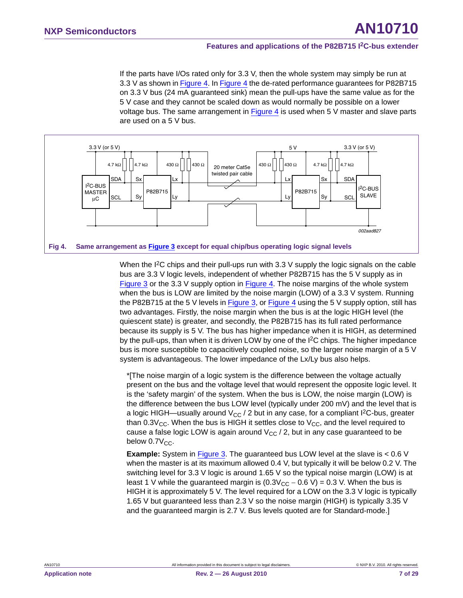If the parts have I/Os rated only for 3.3 V, then the whole system may simply be run at 3.3 V as shown in [Figure 4.](#page-6-0) In [Figure 4](#page-6-0) the de-rated performance guarantees for P82B715 on 3.3 V bus (24 mA guaranteed sink) mean the pull-ups have the same value as for the 5 V case and they cannot be scaled down as would normally be possible on a lower voltage bus. The same arrangement in [Figure 4](#page-6-0) is used when 5 V master and slave parts are used on a 5 V bus.



<span id="page-6-0"></span>When the I<sup>2</sup>C chips and their pull-ups run with 3.3 V supply the logic signals on the cable bus are 3.3 V logic levels, independent of whether P82B715 has the 5 V supply as in [Figure 3](#page-5-1) or the 3.3 V supply option in [Figure 4](#page-6-0). The noise margins of the whole system when the bus is LOW are limited by the noise margin (LOW) of a 3.3 V system. Running the P82B715 at the 5 V levels in [Figure 3](#page-5-1), or [Figure 4](#page-6-0) using the 5 V supply option, still has two advantages. Firstly, the noise margin when the bus is at the logic HIGH level (the quiescent state) is greater, and secondly, the P82B715 has its full rated performance because its supply is 5 V. The bus has higher impedance when it is HIGH, as determined by the pull-ups, than when it is driven LOW by one of the I2C chips. The higher impedance bus is more susceptible to capacitively coupled noise, so the larger noise margin of a 5 V system is advantageous. The lower impedance of the Lx/Ly bus also helps.

\*[The noise margin of a logic system is the difference between the voltage actually present on the bus and the voltage level that would represent the opposite logic level. It is the 'safety margin' of the system. When the bus is LOW, the noise margin (LOW) is the difference between the bus LOW level (typically under 200  $mV$ ) and the level that is a logic HIGH—usually around  $V_{CC}$  / 2 but in any case, for a compliant  $l^2C$ -bus, greater than  $0.3V_{CC}$ . When the bus is HIGH it settles close to  $V_{CC}$ , and the level required to cause a false logic LOW is again around  $V_{CC}$  / 2, but in any case guaranteed to be below  $0.7V_{CC}$ .

**Example:** System in [Figure 3](#page-5-1). The guaranteed bus LOW level at the slave is < 0.6 V when the master is at its maximum allowed 0.4 V, but typically it will be below 0.2 V. The switching level for 3.3 V logic is around 1.65 V so the typical noise margin (LOW) is at least 1 V while the guaranteed margin is  $(0.3V_{CC} - 0.6 V) = 0.3 V$ . When the bus is HIGH it is approximately 5 V. The level required for a LOW on the 3.3 V logic is typically 1.65 V but guaranteed less than 2.3 V so the noise margin (HIGH) is typically 3.35 V and the guaranteed margin is 2.7 V. Bus levels quoted are for Standard-mode.]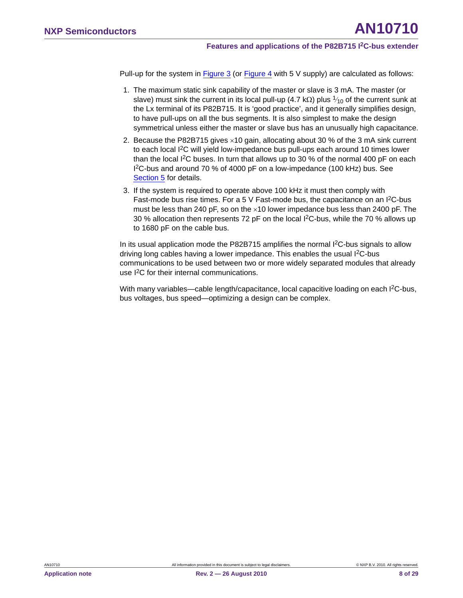Pull-up for the system in [Figure 3](#page-5-1) (or [Figure 4](#page-6-0) with 5 V supply) are calculated as follows:

- 1. The maximum static sink capability of the master or slave is 3 mA. The master (or slave) must sink the current in its local pull-up (4.7 kΩ) plus  $\frac{1}{10}$  of the current sunk at the Lx terminal of its P82B715. It is 'good practice', and it generally simplifies design, to have pull-ups on all the bus segments. It is also simplest to make the design symmetrical unless either the master or slave bus has an unusually high capacitance.
- 2. Because the P82B715 gives  $\times$ 10 gain, allocating about 30 % of the 3 mA sink current to each local I2C will yield low-impedance bus pull-ups each around 10 times lower than the local I<sup>2</sup>C buses. In turn that allows up to 30 % of the normal 400 pF on each I 2C-bus and around 70 % of 4000 pF on a low-impedance (100 kHz) bus. See [Section 5](#page-8-0) for details.
- 3. If the system is required to operate above 100 kHz it must then comply with Fast-mode bus rise times. For a 5 V Fast-mode bus, the capacitance on an I2C-bus must be less than 240 pF, so on the  $\times$ 10 lower impedance bus less than 2400 pF. The 30 % allocation then represents 72 pF on the local I2C-bus, while the 70 % allows up to 1680 pF on the cable bus.

In its usual application mode the P82B715 amplifies the normal  $1<sup>2</sup>C$ -bus signals to allow driving long cables having a lower impedance. This enables the usual I<sup>2</sup>C-bus communications to be used between two or more widely separated modules that already use I2C for their internal communications.

With many variables—cable length/capacitance, local capacitive loading on each I<sup>2</sup>C-bus, bus voltages, bus speed—optimizing a design can be complex.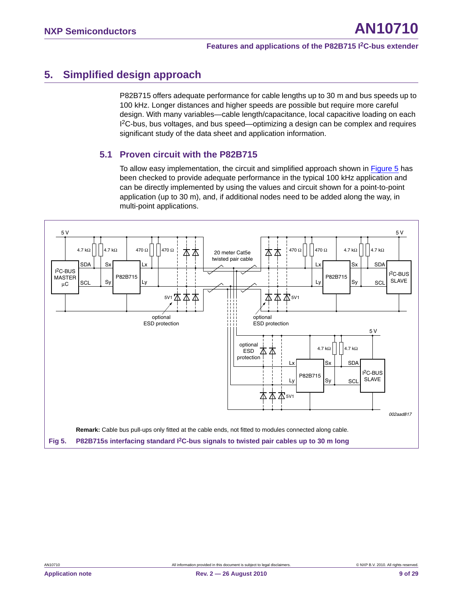### <span id="page-8-0"></span>**5. Simplified design approach**

P82B715 offers adequate performance for cable lengths up to 30 m and bus speeds up to 100 kHz. Longer distances and higher speeds are possible but require more careful design. With many variables—cable length/capacitance, local capacitive loading on each I 2C-bus, bus voltages, and bus speed—optimizing a design can be complex and requires significant study of the data sheet and application information.

### <span id="page-8-2"></span>**5.1 Proven circuit with the P82B715**

To allow easy implementation, the circuit and simplified approach shown in [Figure 5](#page-8-1) has been checked to provide adequate performance in the typical 100 kHz application and can be directly implemented by using the values and circuit shown for a point-to-point application (up to 30 m), and, if additional nodes need to be added along the way, in multi-point applications.

<span id="page-8-1"></span>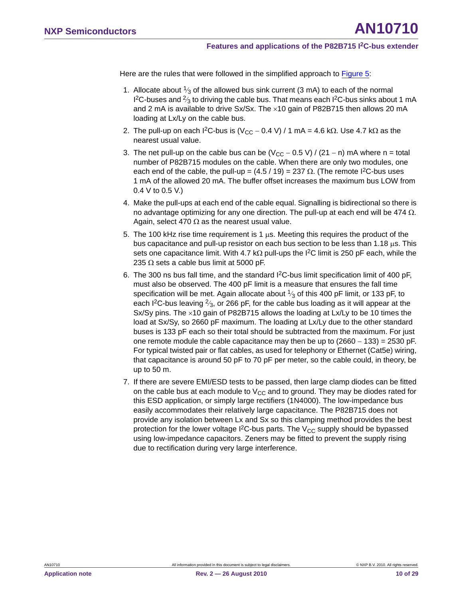Here are the rules that were followed in the simplified approach to [Figure 5](#page-8-1):

- 1. Allocate about  $\frac{1}{3}$  of the allowed bus sink current (3 mA) to each of the normal  $1^2$ C-buses and  $\frac{2}{3}$  to driving the cable bus. That means each  $1^2$ C-bus sinks about 1 mA and 2 mA is available to drive  $Sx/Sx$ . The  $\times 10$  gain of P82B715 then allows 20 mA loading at Lx/Ly on the cable bus.
- 2. The pull-up on each  ${}^{12}C$ -bus is  $(V_{CC} 0.4 V) / 1$  mA = 4.6 k $\Omega$ . Use 4.7 k $\Omega$  as the nearest usual value.
- 3. The net pull-up on the cable bus can be  $(V_{CC} 0.5 V) / (21 n)$  mA where n = total number of P82B715 modules on the cable. When there are only two modules, one each end of the cable, the pull-up =  $(4.5 / 19) = 237 \Omega$ . (The remote I<sup>2</sup>C-bus uses 1 mA of the allowed 20 mA. The buffer offset increases the maximum bus LOW from 0.4 V to 0.5 V.)
- 4. Make the pull-ups at each end of the cable equal. Signalling is bidirectional so there is no advantage optimizing for any one direction. The pull-up at each end will be 474  $\Omega$ . Again, select 470  $\Omega$  as the nearest usual value.
- 5. The 100 kHz rise time requirement is 1  $\mu$ s. Meeting this requires the product of the bus capacitance and pull-up resistor on each bus section to be less than 1.18  $\mu$ s. This sets one capacitance limit. With 4.7 k $\Omega$  pull-ups the I<sup>2</sup>C limit is 250 pF each, while the 235  $\Omega$  sets a cable bus limit at 5000 pF.
- 6. The 300 ns bus fall time, and the standard I<sup>2</sup>C-bus limit specification limit of 400 pF, must also be observed. The 400 pF limit is a measure that ensures the fall time specification will be met. Again allocate about  $\frac{1}{3}$  of this 400 pF limit, or 133 pF, to each I<sup>2</sup>C-bus leaving  $\frac{2}{3}$ , or 266 pF, for the cable bus loading as it will appear at the Sx/Sy pins. The  $\times$ 10 gain of P82B715 allows the loading at Lx/Ly to be 10 times the load at Sx/Sy, so 2660 pF maximum. The loading at Lx/Ly due to the other standard buses is 133 pF each so their total should be subtracted from the maximum. For just one remote module the cable capacitance may then be up to  $(2660 - 133) = 2530$  pF. For typical twisted pair or flat cables, as used for telephony or Ethernet (Cat5e) wiring, that capacitance is around 50 pF to 70 pF per meter, so the cable could, in theory, be up to 50 m.
- 7. If there are severe EMI/ESD tests to be passed, then large clamp diodes can be fitted on the cable bus at each module to  $V_{CC}$  and to ground. They may be diodes rated for this ESD application, or simply large rectifiers (1N4000). The low-impedance bus easily accommodates their relatively large capacitance. The P82B715 does not provide any isolation between Lx and Sx so this clamping method provides the best protection for the lower voltage  ${}^{12}C$ -bus parts. The V<sub>CC</sub> supply should be bypassed using low-impedance capacitors. Zeners may be fitted to prevent the supply rising due to rectification during very large interference.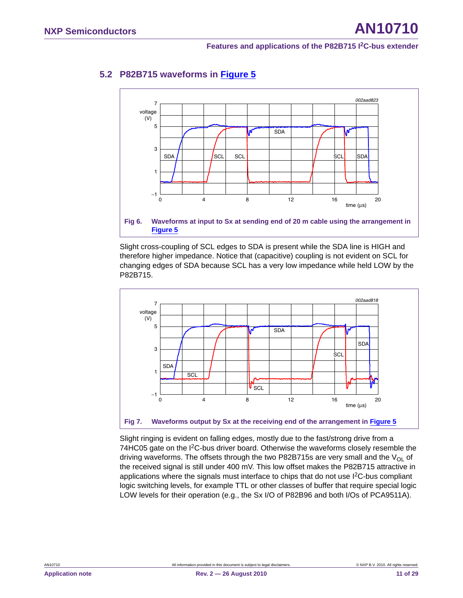

### <span id="page-10-1"></span>**5.2 P82B715 waveforms in [Figure 5](#page-8-1)**



Slight cross-coupling of SCL edges to SDA is present while the SDA line is HIGH and therefore higher impedance. Notice that (capacitive) coupling is not evident on SCL for changing edges of SDA because SCL has a very low impedance while held LOW by the P82B715.



<span id="page-10-0"></span>Slight ringing is evident on falling edges, mostly due to the fast/strong drive from a 74HC05 gate on the I<sup>2</sup>C-bus driver board. Otherwise the waveforms closely resemble the driving waveforms. The offsets through the two P82B715s are very small and the  $V_{OL}$  of the received signal is still under 400 mV. This low offset makes the P82B715 attractive in applications where the signals must interface to chips that do not use  $I<sup>2</sup>C$ -bus compliant logic switching levels, for example TTL or other classes of buffer that require special logic LOW levels for their operation (e.g., the Sx I/O of P82B96 and both I/Os of PCA9511A).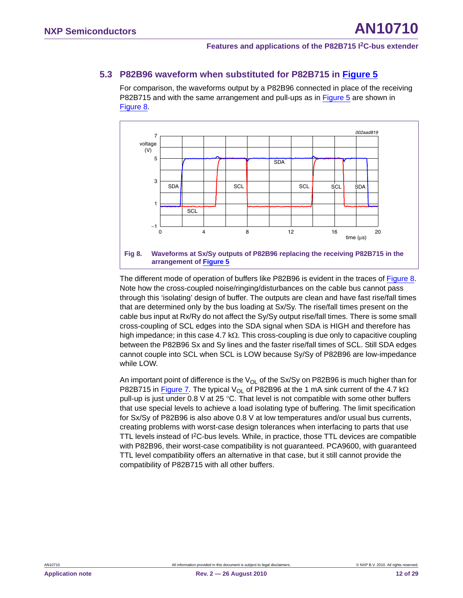### <span id="page-11-1"></span>**5.3 P82B96 waveform when substituted for P82B715 in [Figure 5](#page-8-1)**

For comparison, the waveforms output by a P82B96 connected in place of the receiving P82B715 and with the same arrangement and pull-ups as in [Figure 5](#page-8-1) are shown in [Figure 8](#page-11-0).



<span id="page-11-0"></span>The different mode of operation of buffers like P82B96 is evident in the traces of [Figure 8](#page-11-0). Note how the cross-coupled noise/ringing/disturbances on the cable bus cannot pass through this 'isolating' design of buffer. The outputs are clean and have fast rise/fall times that are determined only by the bus loading at Sx/Sy. The rise/fall times present on the cable bus input at Rx/Ry do not affect the Sy/Sy output rise/fall times. There is some small cross-coupling of SCL edges into the SDA signal when SDA is HIGH and therefore has high impedance; in this case 4.7  $k\Omega$ . This cross-coupling is due only to capacitive coupling between the P82B96 Sx and Sy lines and the faster rise/fall times of SCL. Still SDA edges cannot couple into SCL when SCL is LOW because Sy/Sy of P82B96 are low-impedance while LOW.

An important point of difference is the  $V_{OL}$  of the Sx/Sy on P82B96 is much higher than for P82B715 in [Figure 7.](#page-10-0) The typical  $V_{OL}$  of P82B96 at the 1 mA sink current of the 4.7 k $\Omega$ pull-up is just under 0.8 V at 25 °C. That level is not compatible with some other buffers that use special levels to achieve a load isolating type of buffering. The limit specification for Sx/Sy of P82B96 is also above 0.8 V at low temperatures and/or usual bus currents, creating problems with worst-case design tolerances when interfacing to parts that use TTL levels instead of I2C-bus levels. While, in practice, those TTL devices are compatible with P82B96, their worst-case compatibility is not guaranteed. PCA9600, with guaranteed TTL level compatibility offers an alternative in that case, but it still cannot provide the compatibility of P82B715 with all other buffers.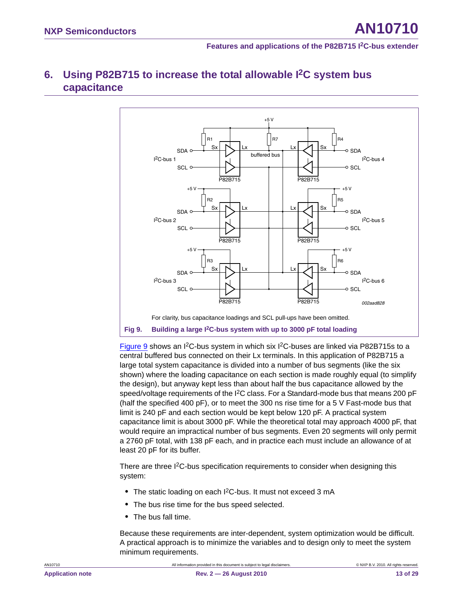## <span id="page-12-1"></span>**6. Using P82B715 to increase the total allowable I2C system bus capacitance**



<span id="page-12-0"></span>[Figure 9](#page-12-0) shows an I<sup>2</sup>C-bus system in which six I<sup>2</sup>C-buses are linked via P82B715s to a central buffered bus connected on their Lx terminals. In this application of P82B715 a large total system capacitance is divided into a number of bus segments (like the six shown) where the loading capacitance on each section is made roughly equal (to simplify the design), but anyway kept less than about half the bus capacitance allowed by the speed/voltage requirements of the  $I^2C$  class. For a Standard-mode bus that means 200 pF (half the specified 400 pF), or to meet the 300 ns rise time for a 5 V Fast-mode bus that limit is 240 pF and each section would be kept below 120 pF. A practical system capacitance limit is about 3000 pF. While the theoretical total may approach 4000 pF, that would require an impractical number of bus segments. Even 20 segments will only permit a 2760 pF total, with 138 pF each, and in practice each must include an allowance of at least 20 pF for its buffer.

There are three I<sup>2</sup>C-bus specification requirements to consider when designing this system:

- The static loading on each I<sup>2</sup>C-bus. It must not exceed 3 mA
- **•** The bus rise time for the bus speed selected.
- **•** The bus fall time.

Because these requirements are inter-dependent, system optimization would be difficult. A practical approach is to minimize the variables and to design only to meet the system minimum requirements.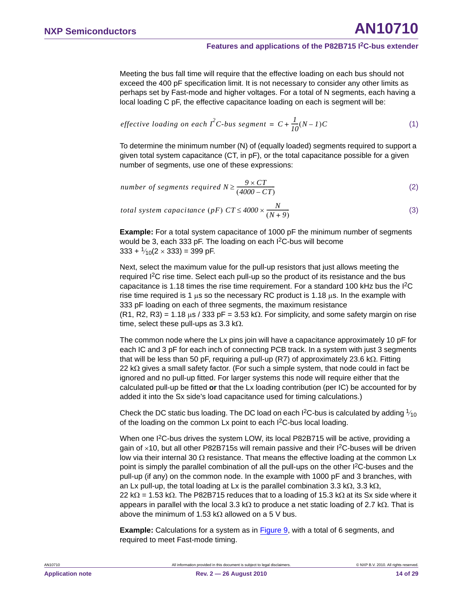Meeting the bus fall time will require that the effective loading on each bus should not exceed the 400 pF specification limit. It is not necessary to consider any other limits as perhaps set by Fast-mode and higher voltages. For a total of N segments, each having a local loading C pF, the effective capacitance loading on each is segment will be:

<span id="page-13-1"></span>
$$
effective\ loading\ on\ each\ l^2C-bus\ segment\ =\ C+\frac{1}{10}(N-I)C\tag{1}
$$

To determine the minimum number (N) of (equally loaded) segments required to support a given total system capacitance (CT, in pF), or the total capacitance possible for a given number of segments, use one of these expressions:

number of segments required 
$$
N \ge \frac{9 \times CT}{(4000 - CT)}
$$
 (2)

<span id="page-13-0"></span>(3) *total system capacitance* (*pF*)  $CT \leq 4000 \times \frac{N}{(N+9)}$ 

**Example:** For a total system capacitance of 1000 pF the minimum number of segments would be 3, each 333 pF. The loading on each I<sup>2</sup>C-bus will become  $333 + \frac{1}{10}(2 \times 333) = 399 \text{ pF}.$ 

Next, select the maximum value for the pull-up resistors that just allows meeting the required I2C rise time. Select each pull-up so the product of its resistance and the bus capacitance is 1.18 times the rise time requirement. For a standard 100 kHz bus the I2C rise time required is 1  $\mu$ s so the necessary RC product is 1.18  $\mu$ s. In the example with 333 pF loading on each of three segments, the maximum resistance  $(R1, R2, R3) = 1.18 \mu s / 333 pF = 3.53 k\Omega$ . For simplicity, and some safety margin on rise time, select these pull-ups as 3.3 k $\Omega$ .

The common node where the Lx pins join will have a capacitance approximately 10 pF for each IC and 3 pF for each inch of connecting PCB track. In a system with just 3 segments that will be less than 50 pF, requiring a pull-up (R7) of approximately 23.6 k $\Omega$ . Fitting 22 k $\Omega$  gives a small safety factor. (For such a simple system, that node could in fact be ignored and no pull-up fitted. For larger systems this node will require either that the calculated pull-up be fitted **or** that the Lx loading contribution (per IC) be accounted for by added it into the Sx side's load capacitance used for timing calculations.)

Check the DC static bus loading. The DC load on each I<sup>2</sup>C-bus is calculated by adding  $\frac{1}{10}$ of the loading on the common Lx point to each I<sup>2</sup>C-bus local loading.

When one I<sup>2</sup>C-bus drives the system LOW, its local P82B715 will be active, providing a gain of  $\times$ 10, but all other P82B715s will remain passive and their I<sup>2</sup>C-buses will be driven low via their internal 30  $\Omega$  resistance. That means the effective loading at the common Lx point is simply the parallel combination of all the pull-ups on the other  $l^2C$ -buses and the pull-up (if any) on the common node. In the example with 1000 pF and 3 branches, with an Lx pull-up, the total loading at Lx is the parallel combination 3.3 k $\Omega$ , 3.3 k $\Omega$ ,  $22 \text{ k}\Omega = 1.53 \text{ k}\Omega$ . The P82B715 reduces that to a loading of 15.3 k $\Omega$  at its Sx side where it appears in parallel with the local 3.3 k $\Omega$  to produce a net static loading of 2.7 k $\Omega$ . That is above the minimum of 1.53 k $\Omega$  allowed on a 5 V bus.

**Example:** Calculations for a system as in [Figure 9,](#page-12-0) with a total of 6 segments, and required to meet Fast-mode timing.

AN10710 All information provided in this document is subject to legal disclaimers. © NXP B.V. 2010. All rights reserved.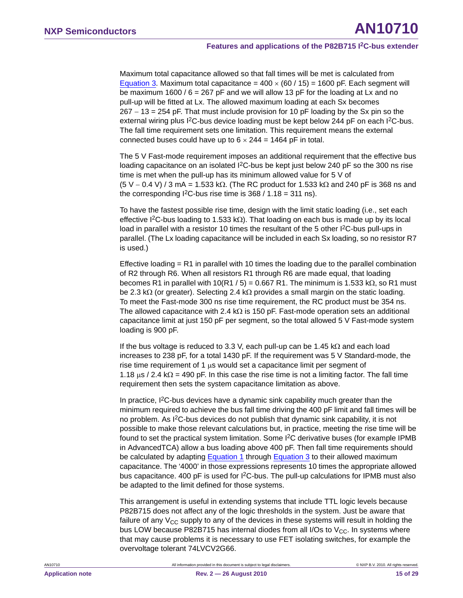Maximum total capacitance allowed so that fall times will be met is calculated from [Equation 3](#page-13-0). Maximum total capacitance =  $400 \times (60 / 15) = 1600$  pF. Each segment will be maximum 1600 /  $6 = 267$  pF and we will allow 13 pF for the loading at Lx and no pull-up will be fitted at Lx. The allowed maximum loading at each Sx becomes  $267 - 13 = 254$  pF. That must include provision for 10 pF loading by the Sx pin so the external wiring plus  $1^2C$ -bus device loading must be kept below 244 pF on each  $1^2C$ -bus. The fall time requirement sets one limitation. This requirement means the external connected buses could have up to  $6 \times 244 = 1464$  pF in total.

The 5 V Fast-mode requirement imposes an additional requirement that the effective bus loading capacitance on an isolated  $1<sup>2</sup>C$ -bus be kept just below 240 pF so the 300 ns rise time is met when the pull-up has its minimum allowed value for 5 V of  $(5 V - 0.4 V) / 3$  mA = 1.533 k $\Omega$ . (The RC product for 1.533 k $\Omega$  and 240 pF is 368 ns and the corresponding  $^{12}$ C-bus rise time is 368 / 1.18 = 311 ns).

To have the fastest possible rise time, design with the limit static loading (i.e., set each effective I<sup>2</sup>C-bus loading to 1.533 k $\Omega$ ). That loading on each bus is made up by its local load in parallel with a resistor 10 times the resultant of the 5 other I<sup>2</sup>C-bus pull-ups in parallel. (The Lx loading capacitance will be included in each Sx loading, so no resistor R7 is used.)

Effective loading  $= R1$  in parallel with 10 times the loading due to the parallel combination of R2 through R6. When all resistors R1 through R6 are made equal, that loading becomes R1 in parallel with  $10(R1 / 5) = 0.667 R1$ . The minimum is 1.533 k $\Omega$ , so R1 must be 2.3 k $\Omega$  (or greater). Selecting 2.4 k $\Omega$  provides a small margin on the static loading. To meet the Fast-mode 300 ns rise time requirement, the RC product must be 354 ns. The allowed capacitance with 2.4 k $\Omega$  is 150 pF. Fast-mode operation sets an additional capacitance limit at just 150 pF per segment, so the total allowed 5 V Fast-mode system loading is 900 pF.

If the bus voltage is reduced to 3.3 V, each pull-up can be 1.45  $k\Omega$  and each load increases to 238 pF, for a total 1430 pF. If the requirement was 5 V Standard-mode, the rise time requirement of 1  $\mu$ s would set a capacitance limit per segment of 1.18  $\mu$ s / 2.4 k $\Omega$  = 490 pF. In this case the rise time is not a limiting factor. The fall time requirement then sets the system capacitance limitation as above.

In practice,  $12C$ -bus devices have a dynamic sink capability much greater than the minimum required to achieve the bus fall time driving the 400 pF limit and fall times will be no problem. As I2C-bus devices do not publish that dynamic sink capability, it is not possible to make those relevant calculations but, in practice, meeting the rise time will be found to set the practical system limitation. Some I<sup>2</sup>C derivative buses (for example IPMB in AdvancedTCA) allow a bus loading above 400 pF. Then fall time requirements should be calculated by adapting **[Equation 1](#page-13-1)** through [Equation 3](#page-13-0) to their allowed maximum capacitance. The '4000' in those expressions represents 10 times the appropriate allowed bus capacitance. 400 pF is used for  ${}^{12}C$ -bus. The pull-up calculations for IPMB must also be adapted to the limit defined for those systems.

This arrangement is useful in extending systems that include TTL logic levels because P82B715 does not affect any of the logic thresholds in the system. Just be aware that failure of any  $V_{CC}$  supply to any of the devices in these systems will result in holding the bus LOW because P82B715 has internal diodes from all I/Os to  $V_{CC}$ . In systems where that may cause problems it is necessary to use FET isolating switches, for example the overvoltage tolerant 74LVCV2G66.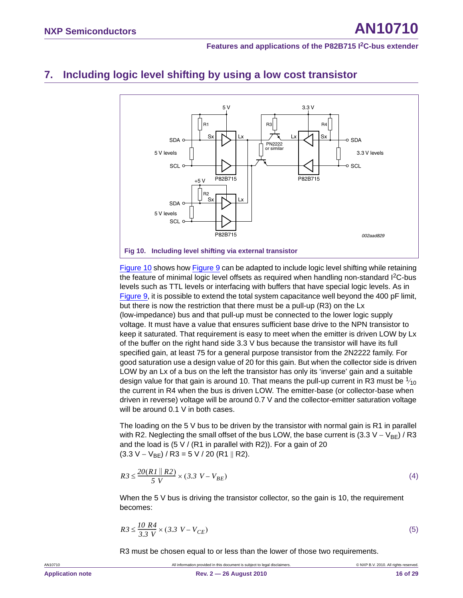### <span id="page-15-1"></span>**7. Including logic level shifting by using a low cost transistor**



<span id="page-15-0"></span>[Figure 10](#page-15-0) shows how [Figure 9](#page-12-0) can be adapted to include logic level shifting while retaining the feature of minimal logic level offsets as required when handling non-standard I2C-bus levels such as TTL levels or interfacing with buffers that have special logic levels. As in [Figure 9](#page-12-0), it is possible to extend the total system capacitance well beyond the 400 pF limit, but there is now the restriction that there must be a pull-up (R3) on the Lx (low-impedance) bus and that pull-up must be connected to the lower logic supply voltage. It must have a value that ensures sufficient base drive to the NPN transistor to keep it saturated. That requirement is easy to meet when the emitter is driven LOW by Lx of the buffer on the right hand side 3.3 V bus because the transistor will have its full specified gain, at least 75 for a general purpose transistor from the 2N2222 family. For good saturation use a design value of 20 for this gain. But when the collector side is driven LOW by an Lx of a bus on the left the transistor has only its 'inverse' gain and a suitable design value for that gain is around 10. That means the pull-up current in R3 must be  $\frac{1}{10}$ the current in R4 when the bus is driven LOW. The emitter-base (or collector-base when driven in reverse) voltage will be around 0.7 V and the collector-emitter saturation voltage will be around 0.1 V in both cases.

The loading on the 5 V bus to be driven by the transistor with normal gain is R1 in parallel with R2. Neglecting the small offset of the bus LOW, the base current is  $(3.3 V - V_{BE})/R3$ and the load is  $(5 V / (R1$  in parallel with R2)). For a gain of 20  $(3.3 V - V_{BE}) / R3 = 5 V / 20 (R1 || R2).$ 

$$
R3 \le \frac{20(R1 \| R2)}{5 V} \times (3.3 V - V_{BE})
$$
\n(4)

When the  $5 \vee$  bus is driving the transistor collector, so the gain is 10, the requirement becomes:

$$
R3 \le \frac{10 \ R4}{3.3 \ V} \times (3.3 \ V - V_{CE})
$$
 (5)

R3 must be chosen equal to or less than the lower of those two requirements.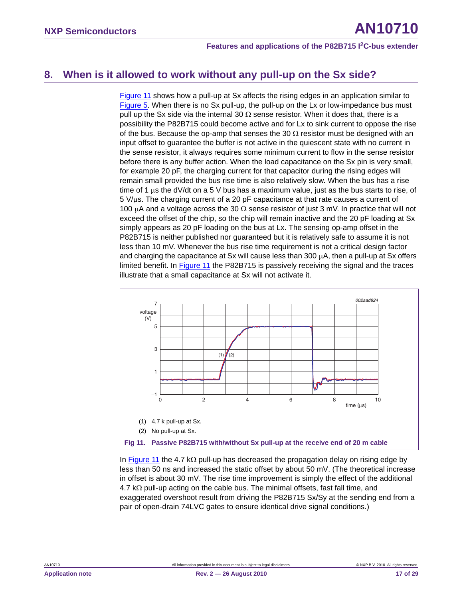### <span id="page-16-1"></span>**8. When is it allowed to work without any pull-up on the Sx side?**

[Figure 11](#page-16-0) shows how a pull-up at Sx affects the rising edges in an application similar to [Figure 5](#page-8-1). When there is no Sx pull-up, the pull-up on the Lx or low-impedance bus must pull up the Sx side via the internal 30  $\Omega$  sense resistor. When it does that, there is a possibility the P82B715 could become active and for Lx to sink current to oppose the rise of the bus. Because the op-amp that senses the 30  $\Omega$  resistor must be designed with an input offset to guarantee the buffer is not active in the quiescent state with no current in the sense resistor, it always requires some minimum current to flow in the sense resistor before there is any buffer action. When the load capacitance on the Sx pin is very small, for example 20 pF, the charging current for that capacitor during the rising edges will remain small provided the bus rise time is also relatively slow. When the bus has a rise time of 1  $\mu$ s the dV/dt on a 5 V bus has a maximum value, just as the bus starts to rise, of  $5 V/\mu s$ . The charging current of a 20 pF capacitance at that rate causes a current of 100  $\mu$ A and a voltage across the 30  $\Omega$  sense resistor of just 3 mV. In practice that will not exceed the offset of the chip, so the chip will remain inactive and the 20 pF loading at Sx simply appears as 20 pF loading on the bus at Lx. The sensing op-amp offset in the P82B715 is neither published nor guaranteed but it is relatively safe to assume it is not less than 10 mV. Whenever the bus rise time requirement is not a critical design factor and charging the capacitance at Sx will cause less than 300  $\mu$ A, then a pull-up at Sx offers limited benefit. In [Figure 11](#page-16-0) the P82B715 is passively receiving the signal and the traces illustrate that a small capacitance at Sx will not activate it.



<span id="page-16-0"></span>In [Figure 11](#page-16-0) the 4.7 k $\Omega$  pull-up has decreased the propagation delay on rising edge by less than 50 ns and increased the static offset by about 50 mV. (The theoretical increase in offset is about 30 mV. The rise time improvement is simply the effect of the additional  $4.7 \text{ k}\Omega$  pull-up acting on the cable bus. The minimal offsets, fast fall time, and exaggerated overshoot result from driving the P82B715 Sx/Sy at the sending end from a pair of open-drain 74LVC gates to ensure identical drive signal conditions.)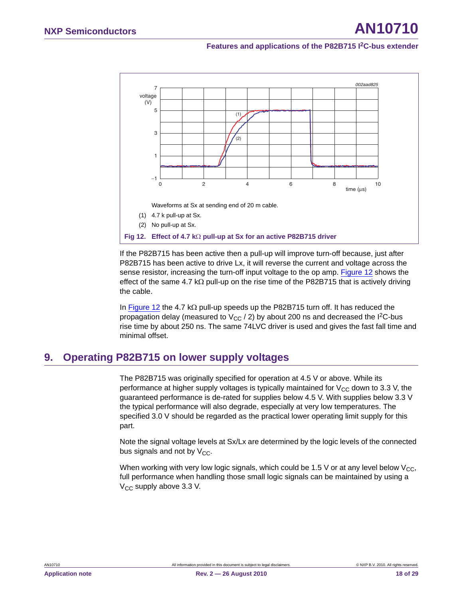

<span id="page-17-0"></span>If the P82B715 has been active then a pull-up will improve turn-off because, just after P82B715 has been active to drive Lx, it will reverse the current and voltage across the sense resistor, increasing the turn-off input voltage to the op amp. [Figure 12](#page-17-0) shows the effect of the same 4.7 k $\Omega$  pull-up on the rise time of the P82B715 that is actively driving the cable.

In [Figure 12](#page-17-0) the 4.7 k $\Omega$  pull-up speeds up the P82B715 turn off. It has reduced the propagation delay (measured to  $V_{CC}$  / 2) by about 200 ns and decreased the I<sup>2</sup>C-bus rise time by about 250 ns. The same 74LVC driver is used and gives the fast fall time and minimal offset.

### <span id="page-17-1"></span>**9. Operating P82B715 on lower supply voltages**

The P82B715 was originally specified for operation at 4.5 V or above. While its performance at higher supply voltages is typically maintained for  $V_{CC}$  down to 3.3 V, the guaranteed performance is de-rated for supplies below 4.5 V. With supplies below 3.3 V the typical performance will also degrade, especially at very low temperatures. The specified 3.0 V should be regarded as the practical lower operating limit supply for this part.

Note the signal voltage levels at Sx/Lx are determined by the logic levels of the connected bus signals and not by  $V_{CC}$ .

When working with very low logic signals, which could be 1.5 V or at any level below  $V_{CC}$ , full performance when handling those small logic signals can be maintained by using a  $V_{CC}$  supply above 3.3 V.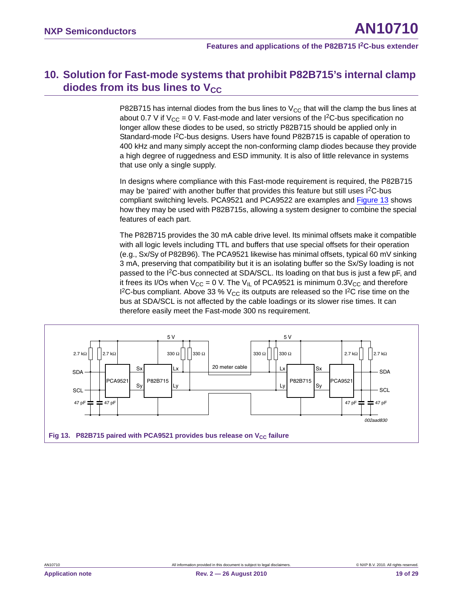### <span id="page-18-0"></span>**10. Solution for Fast-mode systems that prohibit P82B715's internal clamp diodes from its bus lines to V<sub>CC</sub>**

P82B715 has internal diodes from the bus lines to  $V_{CC}$  that will the clamp the bus lines at about 0.7 V if  $V_{CC} = 0$  V. Fast-mode and later versions of the I<sup>2</sup>C-bus specification no longer allow these diodes to be used, so strictly P82B715 should be applied only in Standard-mode I<sup>2</sup>C-bus designs. Users have found P82B715 is capable of operation to 400 kHz and many simply accept the non-conforming clamp diodes because they provide a high degree of ruggedness and ESD immunity. It is also of little relevance in systems that use only a single supply.

In designs where compliance with this Fast-mode requirement is required, the P82B715 may be 'paired' with another buffer that provides this feature but still uses I<sup>2</sup>C-bus compliant switching levels. PCA9521 and PCA9522 are examples and [Figure 13](#page-18-1) shows how they may be used with P82B715s, allowing a system designer to combine the special features of each part.

The P82B715 provides the 30 mA cable drive level. Its minimal offsets make it compatible with all logic levels including TTL and buffers that use special offsets for their operation (e.g., Sx/Sy of P82B96). The PCA9521 likewise has minimal offsets, typical 60 mV sinking 3 mA, preserving that compatibility but it is an isolating buffer so the Sx/Sy loading is not passed to the I2C-bus connected at SDA/SCL. Its loading on that bus is just a few pF, and it frees its I/Os when  $V_{CC} = 0$  V. The V<sub>II</sub> of PCA9521 is minimum 0.3V<sub>CC</sub> and therefore I<sup>2</sup>C-bus compliant. Above 33 %  $V_{CC}$  its outputs are released so the I<sup>2</sup>C rise time on the bus at SDA/SCL is not affected by the cable loadings or its slower rise times. It can therefore easily meet the Fast-mode 300 ns requirement.

<span id="page-18-1"></span>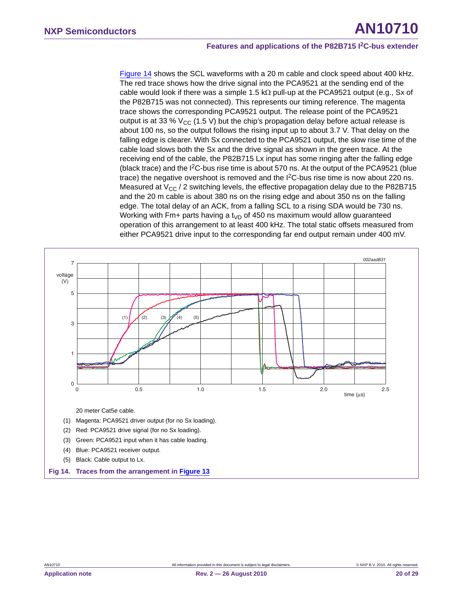[Figure 14](#page-19-0) shows the SCL waveforms with a 20 m cable and clock speed about 400 kHz. The red trace shows how the drive signal into the PCA9521 at the sending end of the cable would look if there was a simple 1.5 k $\Omega$  pull-up at the PCA9521 output (e.g., Sx of the P82B715 was not connected). This represents our timing reference. The magenta trace shows the corresponding PCA9521 output. The release point of the PCA9521 output is at 33 %  $V_{CC}$  (1.5 V) but the chip's propagation delay before actual release is about 100 ns, so the output follows the rising input up to about 3.7 V. That delay on the falling edge is clearer. With Sx connected to the PCA9521 output, the slow rise time of the cable load slows both the Sx and the drive signal as shown in the green trace. At the receiving end of the cable, the P82B715 Lx input has some ringing after the falling edge (black trace) and the  $I^2C$ -bus rise time is about 570 ns. At the output of the PCA9521 (blue trace) the negative overshoot is removed and the  $1<sup>2</sup>C$ -bus rise time is now about 220 ns. Measured at  $V_{CC}$  / 2 switching levels, the effective propagation delay due to the P82B715 and the 20 m cable is about 380 ns on the rising edge and about 350 ns on the falling edge. The total delay of an ACK, from a falling SCL to a rising SDA would be 730 ns. Working with Fm+ parts having a t<sub>VD</sub> of 450 ns maximum would allow guaranteed operation of this arrangement to at least 400 kHz. The total static offsets measured from either PCA9521 drive input to the corresponding far end output remain under 400 mV.

<span id="page-19-0"></span>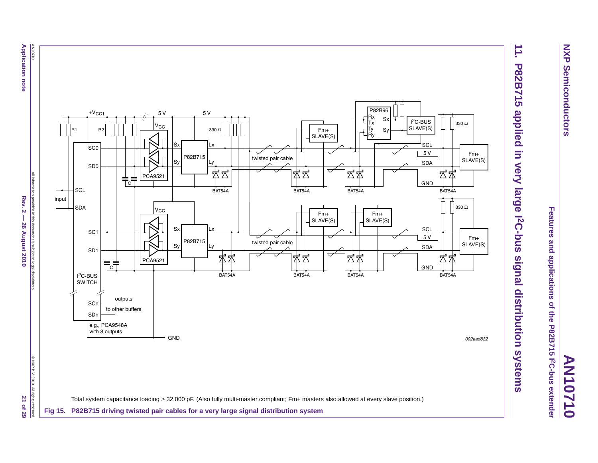<span id="page-20-1"></span>AN10710 **Application note** 

**Application note Rev. 2 – 26 August 2010 20 August 2021 0 26 August 2020 21 or 27 or 28** AN10710 All information provided in this document is subject to @all disclaimers. ⊙ NXP B.V. 2010. All rights reserved. All rights reserved. 5 V+VCC1 5 V  $\prime_{\rm CC}$ R1 R2 S) SC0P82B715 Sy SD0All information provided in this document is subject to legal disclaimers PCA9521 C **SCL** Rev.  $2$ input SDA $\rm v_{\rm CC}$ 26 August 2010 Sx SC1 P82B715 Sy SD1 PCA9521 C I<sup>2</sup>C-BUS<br>SWITCH outputs **SCn** to other buffers SDne.g., PCA9548A with 8 outputs GND@ NXP B.V. 2010. All rights re

Total system capacitance loading > 32,000 pF. (Also fully multi-master compliant; Fm+ masters also allowed at every slave position.)

Ly  $\begin{array}{c|c|c|c} \hline \end{array}$  twisted pair cable

 $\overline{\smile}$ 

₹

**Fig 15. P82B715 driving twisted pair cables for a very large signal distribution system**

Lx

330 Ω

Ly

Lx

BAT54A

本本

BAT54A

苤

'式

twisted pair cable

Fm+SLAVE(S)

Fm+SLAVE(S) BAT54A

苤 本

BAT54A

本

氐

Rx Tx Ty Ry

P82B96 Sx Sy

Fm+SLAVE(S) 2C-BUSSLAVE(S)

 $_{\rm sc}$ 

SDA

5 V

GND

SCL

5 V

SDA

GND

BAT54A

卒卒

330 Ω

BAT54A

岔岔

330 Ω

Fm+SLAVE(S)

Fm+ SLAVE(S)

BAT54A

大 述

BAT54A

本本

**Features and applications of the P82B715 I2C-bus extender**

Features and applications of the P82B715 I2C-bus extender

**NXP Semiconductors**

**Semiconductors** 

**NXP** 

<span id="page-20-0"></span>002aad832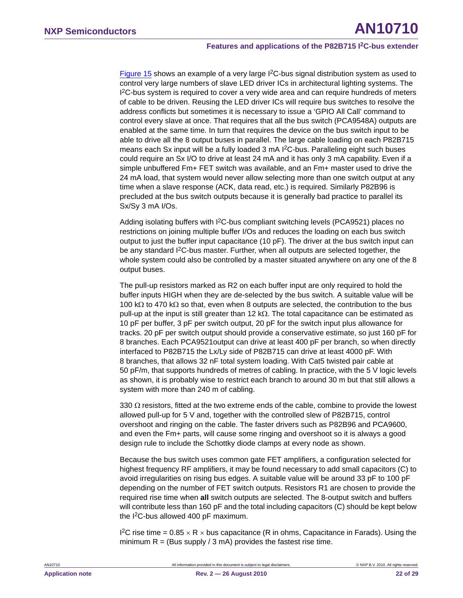[Figure 15](#page-20-0) shows an example of a very large I<sup>2</sup>C-bus signal distribution system as used to control very large numbers of slave LED driver ICs in architectural lighting systems. The <sup>12</sup>C-bus system is required to cover a very wide area and can require hundreds of meters of cable to be driven. Reusing the LED driver ICs will require bus switches to resolve the address conflicts but sometimes it is necessary to issue a 'GPIO All Call' command to control every slave at once. That requires that all the bus switch (PCA9548A) outputs are enabled at the same time. In turn that requires the device on the bus switch input to be able to drive all the 8 output buses in parallel. The large cable loading on each P82B715 means each Sx input will be a fully loaded 3 mA I<sup>2</sup>C-bus. Paralleling eight such buses could require an Sx I/O to drive at least 24 mA and it has only 3 mA capability. Even if a simple unbuffered Fm+ FET switch was available, and an Fm+ master used to drive the 24 mA load, that system would never allow selecting more than one switch output at any time when a slave response (ACK, data read, etc.) is required. Similarly P82B96 is precluded at the bus switch outputs because it is generally bad practice to parallel its Sx/Sy 3 mA I/Os.

Adding isolating buffers with  $1<sup>2</sup>C$ -bus compliant switching levels (PCA9521) places no restrictions on joining multiple buffer I/Os and reduces the loading on each bus switch output to just the buffer input capacitance (10 pF). The driver at the bus switch input can be any standard  $1<sup>2</sup>C$ -bus master. Further, when all outputs are selected together, the whole system could also be controlled by a master situated anywhere on any one of the 8 output buses.

The pull-up resistors marked as R2 on each buffer input are only required to hold the buffer inputs HIGH when they are de-selected by the bus switch. A suitable value will be 100 k $\Omega$  to 470 k $\Omega$  so that, even when 8 outputs are selected, the contribution to the bus pull-up at the input is still greater than 12  $k\Omega$ . The total capacitance can be estimated as 10 pF per buffer, 3 pF per switch output, 20 pF for the switch input plus allowance for tracks. 20 pF per switch output should provide a conservative estimate, so just 160 pF for 8 branches. Each PCA9521output can drive at least 400 pF per branch, so when directly interfaced to P82B715 the Lx/Ly side of P82B715 can drive at least 4000 pF. With 8 branches, that allows 32 nF total system loading. With Cat5 twisted pair cable at 50 pF/m, that supports hundreds of metres of cabling. In practice, with the 5 V logic levels as shown, it is probably wise to restrict each branch to around 30 m but that still allows a system with more than 240 m of cabling.

330  $\Omega$  resistors, fitted at the two extreme ends of the cable, combine to provide the lowest allowed pull-up for 5 V and, together with the controlled slew of P82B715, control overshoot and ringing on the cable. The faster drivers such as P82B96 and PCA9600, and even the Fm+ parts, will cause some ringing and overshoot so it is always a good design rule to include the Schottky diode clamps at every node as shown.

Because the bus switch uses common gate FET amplifiers, a configuration selected for highest frequency RF amplifiers, it may be found necessary to add small capacitors (C) to avoid irregularities on rising bus edges. A suitable value will be around 33 pF to 100 pF depending on the number of FET switch outputs. Resistors R1 are chosen to provide the required rise time when **all** switch outputs are selected. The 8-output switch and buffers will contribute less than 160 pF and the total including capacitors (C) should be kept below the I2C-bus allowed 400 pF maximum.

I<sup>2</sup>C rise time =  $0.85 \times R \times$  bus capacitance (R in ohms, Capacitance in Farads). Using the minimum  $R = (Bus supply / 3 mA)$  provides the fastest rise time.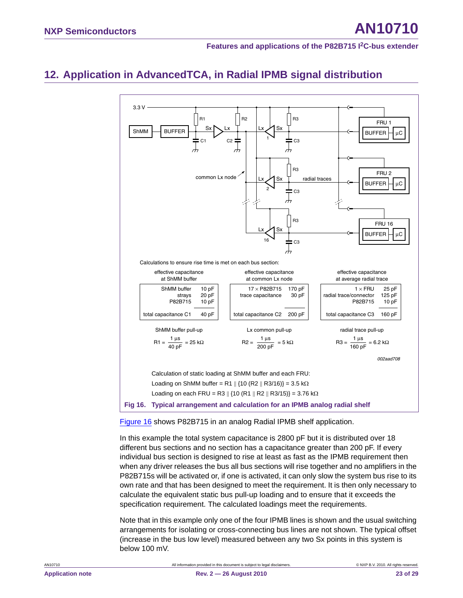## <span id="page-22-1"></span>**12. Application in AdvancedTCA, in Radial IPMB signal distribution**



<span id="page-22-0"></span>[Figure 16](#page-22-0) shows P82B715 in an analog Radial IPMB shelf application.

In this example the total system capacitance is 2800 pF but it is distributed over 18 different bus sections and no section has a capacitance greater than 200 pF. If every individual bus section is designed to rise at least as fast as the IPMB requirement then when any driver releases the bus all bus sections will rise together and no amplifiers in the P82B715s will be activated or, if one is activated, it can only slow the system bus rise to its own rate and that has been designed to meet the requirement. It is then only necessary to calculate the equivalent static bus pull-up loading and to ensure that it exceeds the specification requirement. The calculated loadings meet the requirements.

Note that in this example only one of the four IPMB lines is shown and the usual switching arrangements for isolating or cross-connecting bus lines are not shown. The typical offset (increase in the bus low level) measured between any two Sx points in this system is below 100 mV.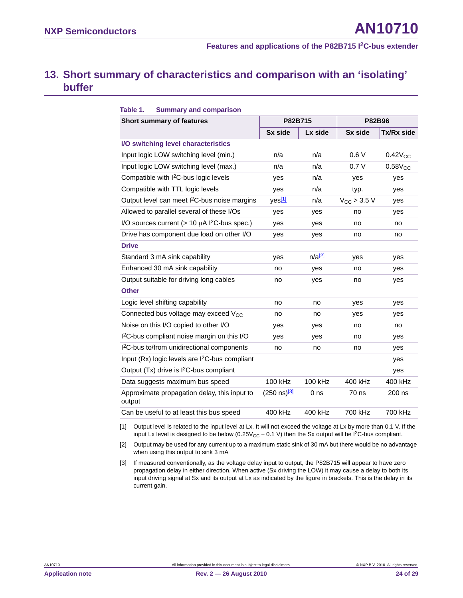### <span id="page-23-3"></span>**13. Short summary of characteristics and comparison with an 'isolating' buffer**

| Table 1.<br><b>Summary and comparison</b>                      |                           |                      |                  |              |
|----------------------------------------------------------------|---------------------------|----------------------|------------------|--------------|
| Short summary of features                                      | P82B715                   |                      | P82B96           |              |
|                                                                | Sx side                   | Lx side              | Sx side          | Tx/Rx side   |
| I/O switching level characteristics                            |                           |                      |                  |              |
| Input logic LOW switching level (min.)                         | n/a                       | n/a                  | 0.6V             | $0.42V_{CC}$ |
| Input logic LOW switching level (max.)                         | n/a                       | n/a                  | 0.7V             | $0.58V_{CC}$ |
| Compatible with I <sup>2</sup> C-bus logic levels              | yes                       | n/a                  | ves              | yes          |
| Compatible with TTL logic levels                               | yes                       | n/a                  | typ.             | yes          |
| Output level can meet I <sup>2</sup> C-bus noise margins       | yes <sup>[1]</sup>        | n/a                  | $V_{CC}$ > 3.5 V | yes          |
| Allowed to parallel several of these I/Os                      | yes                       | yes                  | no               | yes          |
| I/O sources current ( $> 10 \mu A$ I <sup>2</sup> C-bus spec.) | yes                       | yes                  | no               | no           |
| Drive has component due load on other I/O                      | yes                       | yes                  | no               | no           |
| <b>Drive</b>                                                   |                           |                      |                  |              |
| Standard 3 mA sink capability                                  | yes                       | $n/a$ <sup>[2]</sup> | yes              | yes          |
| Enhanced 30 mA sink capability                                 | no                        | yes                  | no               | yes          |
| Output suitable for driving long cables                        | no                        | yes                  | no               | yes          |
| <b>Other</b>                                                   |                           |                      |                  |              |
| Logic level shifting capability                                | no                        | no                   | yes              | yes          |
| Connected bus voltage may exceed V <sub>CC</sub>               | no                        | no                   | yes              | yes          |
| Noise on this I/O copied to other I/O                          | yes                       | yes                  | no               | no           |
| I <sup>2</sup> C-bus compliant noise margin on this I/O        | yes                       | yes                  | no               | yes          |
| I <sup>2</sup> C-bus to/from unidirectional components         | no                        | no                   | no               | yes          |
| Input (Rx) logic levels are I <sup>2</sup> C-bus compliant     |                           |                      |                  | yes          |
| Output (Tx) drive is I <sup>2</sup> C-bus compliant            |                           |                      |                  | yes          |
| Data suggests maximum bus speed                                | 100 kHz                   | 100 kHz              | 400 kHz          | 400 kHz      |
| Approximate propagation delay, this input to<br>output         | (250 ns) <mark>[3]</mark> | 0 <sub>ns</sub>      | 70 ns            | 200 ns       |
| Can be useful to at least this bus speed                       | 400 kHz                   | 400 kHz              | 700 kHz          | 700 kHz      |

<span id="page-23-0"></span>[1] Output level is related to the input level at Lx. It will not exceed the voltage at Lx by more than 0.1 V. If the input Lx level is designed to be below ( $0.25V_{CC} - 0.1$  V) then the Sx output will be I<sup>2</sup>C-bus compliant.

<span id="page-23-1"></span>[2] Output may be used for any current up to a maximum static sink of 30 mA but there would be no advantage when using this output to sink 3 mA

<span id="page-23-2"></span>[3] If measured conventionally, as the voltage delay input to output, the P82B715 will appear to have zero propagation delay in either direction. When active (Sx driving the LOW) it may cause a delay to both its input driving signal at Sx and its output at Lx as indicated by the figure in brackets. This is the delay in its current gain.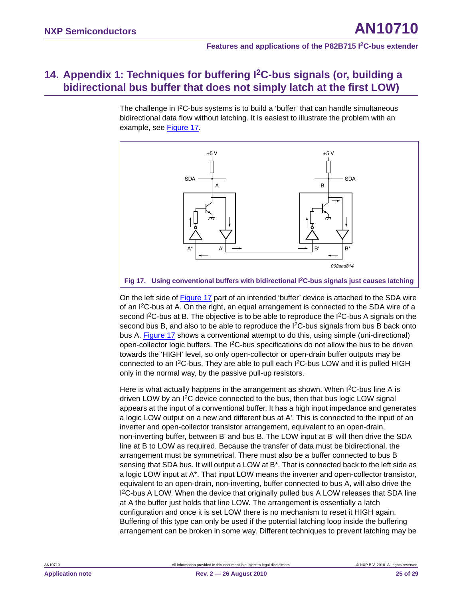## <span id="page-24-1"></span>**14. Appendix 1: Techniques for buffering I2C-bus signals (or, building a bidirectional bus buffer that does not simply latch at the first LOW)**

The challenge in I<sup>2</sup>C-bus systems is to build a 'buffer' that can handle simultaneous bidirectional data flow without latching. It is easiest to illustrate the problem with an example, see [Figure 17.](#page-24-0)



<span id="page-24-0"></span>On the left side of [Figure 17](#page-24-0) part of an intended 'buffer' device is attached to the SDA wire of an I2C-bus at A. On the right, an equal arrangement is connected to the SDA wire of a second  ${}^{12}C$ -bus at B. The objective is to be able to reproduce the  ${}^{12}C$ -bus A signals on the second bus B, and also to be able to reproduce the  $1<sup>2</sup>C$ -bus signals from bus B back onto bus A. [Figure 17](#page-24-0) shows a conventional attempt to do this, using simple (uni-directional) open-collector logic buffers. The I2C-bus specifications do not allow the bus to be driven towards the 'HIGH' level, so only open-collector or open-drain buffer outputs may be connected to an I<sup>2</sup>C-bus. They are able to pull each I<sup>2</sup>C-bus LOW and it is pulled HIGH only in the normal way, by the passive pull-up resistors.

Here is what actually happens in the arrangement as shown. When I<sup>2</sup>C-bus line A is driven LOW by an I<sup>2</sup>C device connected to the bus, then that bus logic LOW signal appears at the input of a conventional buffer. It has a high input impedance and generates a logic LOW output on a new and different bus at A'. This is connected to the input of an inverter and open-collector transistor arrangement, equivalent to an open-drain, non-inverting buffer, between B' and bus B. The LOW input at B' will then drive the SDA line at B to LOW as required. Because the transfer of data must be bidirectional, the arrangement must be symmetrical. There must also be a buffer connected to bus B sensing that SDA bus. It will output a LOW at B\*. That is connected back to the left side as a logic LOW input at A\*. That input LOW means the inverter and open-collector transistor, equivalent to an open-drain, non-inverting, buffer connected to bus A, will also drive the I 2C-bus A LOW. When the device that originally pulled bus A LOW releases that SDA line at A the buffer just holds that line LOW. The arrangement is essentially a latch configuration and once it is set LOW there is no mechanism to reset it HIGH again. Buffering of this type can only be used if the potential latching loop inside the buffering arrangement can be broken in some way. Different techniques to prevent latching may be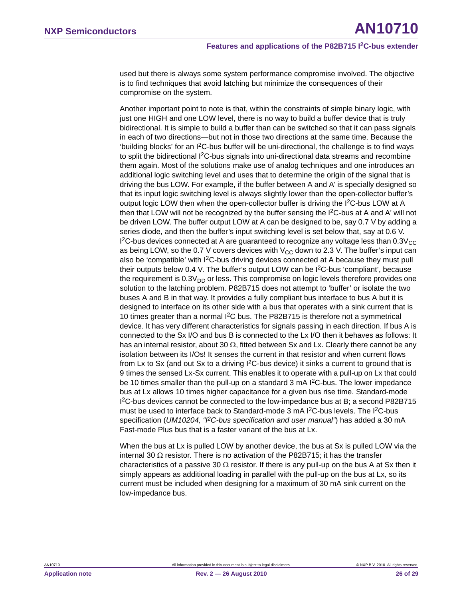used but there is always some system performance compromise involved. The objective is to find techniques that avoid latching but minimize the consequences of their compromise on the system.

Another important point to note is that, within the constraints of simple binary logic, with just one HIGH and one LOW level, there is no way to build a buffer device that is truly bidirectional. It is simple to build a buffer than can be switched so that it can pass signals in each of two directions—but not in those two directions at the same time. Because the 'building blocks' for an I2C-bus buffer will be uni-directional, the challenge is to find ways to split the bidirectional I<sup>2</sup>C-bus signals into uni-directional data streams and recombine them again. Most of the solutions make use of analog techniques and one introduces an additional logic switching level and uses that to determine the origin of the signal that is driving the bus LOW. For example, if the buffer between A and A' is specially designed so that its input logic switching level is always slightly lower than the open-collector buffer's output logic LOW then when the open-collector buffer is driving the  $1<sup>2</sup>C$ -bus LOW at A then that LOW will not be recognized by the buffer sensing the  $1<sup>2</sup>C$ -bus at A and A' will not be driven LOW. The buffer output LOW at A can be designed to be, say 0.7 V by adding a series diode, and then the buffer's input switching level is set below that, say at 0.6 V. I<sup>2</sup>C-bus devices connected at A are guaranteed to recognize any voltage less than 0.3V $_{\rm CC}$ as being LOW, so the 0.7 V covers devices with  $V_{CC}$  down to 2.3 V. The buffer's input can also be 'compatible' with I2C-bus driving devices connected at A because they must pull their outputs below 0.4 V. The buffer's output LOW can be I2C-bus 'compliant', because the requirement is  $0.3V<sub>DD</sub>$  or less. This compromise on logic levels therefore provides one solution to the latching problem. P82B715 does not attempt to 'buffer' or isolate the two buses A and B in that way. It provides a fully compliant bus interface to bus A but it is designed to interface on its other side with a bus that operates with a sink current that is 10 times greater than a normal I2C bus. The P82B715 is therefore not a symmetrical device. It has very different characteristics for signals passing in each direction. If bus A is connected to the Sx I/O and bus B is connected to the Lx I/O then it behaves as follows: It has an internal resistor, about 30  $\Omega$ , fitted between Sx and Lx. Clearly there cannot be any isolation between its I/Os! It senses the current in that resistor and when current flows from Lx to Sx (and out Sx to a driving  ${}^{12}$ C-bus device) it sinks a current to ground that is 9 times the sensed Lx-Sx current. This enables it to operate with a pull-up on Lx that could be 10 times smaller than the pull-up on a standard 3 mA  $1<sup>2</sup>C$ -bus. The lower impedance bus at Lx allows 10 times higher capacitance for a given bus rise time. Standard-mode I 2C-bus devices cannot be connected to the low-impedance bus at B; a second P82B715 must be used to interface back to Standard-mode 3 mA I<sup>2</sup>C-bus levels. The I<sup>2</sup>C-bus specification (*UM10204, "I2C-bus specification and user manual"*) has added a 30 mA Fast-mode Plus bus that is a faster variant of the bus at Lx.

When the bus at Lx is pulled LOW by another device, the bus at Sx is pulled LOW via the internal 30  $\Omega$  resistor. There is no activation of the P82B715; it has the transfer characteristics of a passive 30  $\Omega$  resistor. If there is any pull-up on the bus A at Sx then it simply appears as additional loading in parallel with the pull-up on the bus at Lx, so its current must be included when designing for a maximum of 30 mA sink current on the low-impedance bus.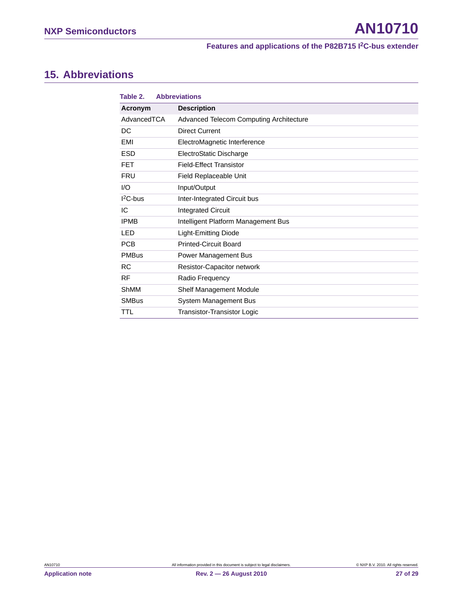### <span id="page-26-0"></span>**15. Abbreviations**

| Table 2.     | <b>Abbreviations</b>                    |
|--------------|-----------------------------------------|
| Acronym      | <b>Description</b>                      |
| AdvancedTCA  | Advanced Telecom Computing Architecture |
| DC           | Direct Current                          |
| EMI          | ElectroMagnetic Interference            |
| <b>ESD</b>   | ElectroStatic Discharge                 |
| <b>FET</b>   | <b>Field-Effect Transistor</b>          |
| <b>FRU</b>   | Field Replaceable Unit                  |
| 1/O          | Input/Output                            |
| $I2C-bus$    | Inter-Integrated Circuit bus            |
| IC           | <b>Integrated Circuit</b>               |
| <b>IPMB</b>  | Intelligent Platform Management Bus     |
| LED          | <b>Light-Emitting Diode</b>             |
| <b>PCB</b>   | <b>Printed-Circuit Board</b>            |
| <b>PMBus</b> | Power Management Bus                    |
| <b>RC</b>    | Resistor-Capacitor network              |
| <b>RF</b>    | Radio Frequency                         |
| <b>ShMM</b>  | Shelf Management Module                 |
| <b>SMBus</b> | System Management Bus                   |
| TTL          | Transistor-Transistor Logic             |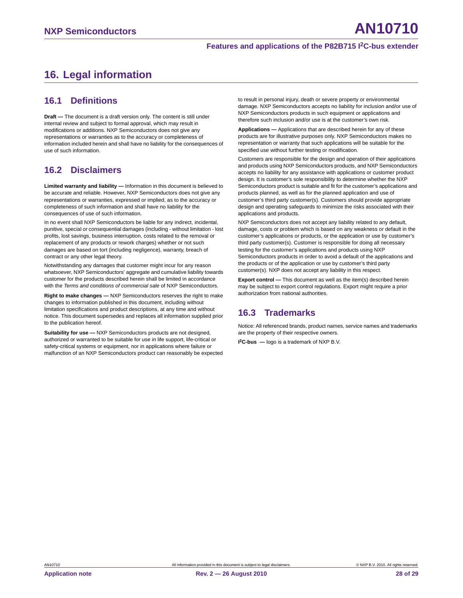### <span id="page-27-0"></span>**16. Legal information**

### <span id="page-27-1"></span>**16.1 Definitions**

**Draft —** The document is a draft version only. The content is still under internal review and subject to formal approval, which may result in modifications or additions. NXP Semiconductors does not give any representations or warranties as to the accuracy or completeness of information included herein and shall have no liability for the consequences of use of such information.

### <span id="page-27-2"></span>**16.2 Disclaimers**

**Limited warranty and liability —** Information in this document is believed to be accurate and reliable. However, NXP Semiconductors does not give any representations or warranties, expressed or implied, as to the accuracy or completeness of such information and shall have no liability for the consequences of use of such information.

In no event shall NXP Semiconductors be liable for any indirect, incidental, punitive, special or consequential damages (including - without limitation - lost profits, lost savings, business interruption, costs related to the removal or replacement of any products or rework charges) whether or not such damages are based on tort (including negligence), warranty, breach of contract or any other legal theory.

Notwithstanding any damages that customer might incur for any reason whatsoever, NXP Semiconductors' aggregate and cumulative liability towards customer for the products described herein shall be limited in accordance with the *Terms and conditions of commercial sale* of NXP Semiconductors.

**Right to make changes —** NXP Semiconductors reserves the right to make changes to information published in this document, including without limitation specifications and product descriptions, at any time and without notice. This document supersedes and replaces all information supplied prior to the publication hereof.

**Suitability for use —** NXP Semiconductors products are not designed, authorized or warranted to be suitable for use in life support, life-critical or safety-critical systems or equipment, nor in applications where failure or malfunction of an NXP Semiconductors product can reasonably be expected to result in personal injury, death or severe property or environmental damage. NXP Semiconductors accepts no liability for inclusion and/or use of NXP Semiconductors products in such equipment or applications and therefore such inclusion and/or use is at the customer's own risk.

**Applications —** Applications that are described herein for any of these products are for illustrative purposes only. NXP Semiconductors makes no representation or warranty that such applications will be suitable for the specified use without further testing or modification.

Customers are responsible for the design and operation of their applications and products using NXP Semiconductors products, and NXP Semiconductors accepts no liability for any assistance with applications or customer product design. It is customer's sole responsibility to determine whether the NXP Semiconductors product is suitable and fit for the customer's applications and products planned, as well as for the planned application and use of customer's third party customer(s). Customers should provide appropriate design and operating safeguards to minimize the risks associated with their applications and products.

NXP Semiconductors does not accept any liability related to any default, damage, costs or problem which is based on any weakness or default in the customer's applications or products, or the application or use by customer's third party customer(s). Customer is responsible for doing all necessary testing for the customer's applications and products using NXP Semiconductors products in order to avoid a default of the applications and the products or of the application or use by customer's third party customer(s). NXP does not accept any liability in this respect.

**Export control —** This document as well as the item(s) described herein may be subject to export control regulations. Export might require a prior authorization from national authorities.

### <span id="page-27-3"></span>**16.3 Trademarks**

Notice: All referenced brands, product names, service names and trademarks are the property of their respective owners.

**I 2C-bus —** logo is a trademark of NXP B.V.